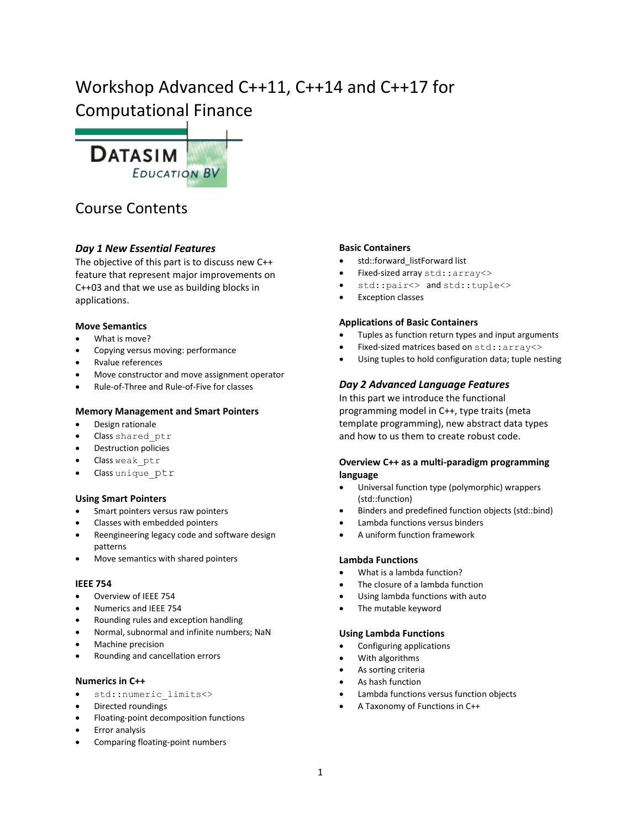# Workshop Advanced C++11, C++14 and C++17 for Computational Finance



# Course Contents

# *Day 1 New Essential Features*

The objective of this part is to discuss new C++ feature that represent major improvements on C++03 and that we use as building blocks in applications.

# **Move Semantics**

- What is move?
- Copying versus moving: performance
- Rvalue references
- Move constructor and move assignment operator
- Rule-of-Three and Rule-of-Five for classes

# **Memory Management and Smart Pointers**

- Design rationale
- Class shared ptr
- Destruction policies
- Class weak ptr
- Class unique ptr

# **Using Smart Pointers**

- Smart pointers versus raw pointers
- Classes with embedded pointers
- Reengineering legacy code and software design patterns
- Move semantics with shared pointers

#### **IEEE 754**

- Overview of IEEE 754
- Numerics and IEEE 754
- Rounding rules and exception handling
- Normal, subnormal and infinite numbers; NaN
- Machine precision
- Rounding and cancellation errors

#### **Numerics in C++**

- std::numeric\_limits<>
- Directed roundings
- Floating-point decomposition functions
- Error analysis
- Comparing floating-point numbers

# **Basic Containers**

- std::forward\_listForward list
- Fixed-sized array std::array<>
- std::pair<> and std::tuple<>
- Exception classes

## **Applications of Basic Containers**

- Tuples as function return types and input arguments
- Fixed-sized matrices based on std::array<>
- Using tuples to hold configuration data; tuple nesting

# *Day 2 Advanced Language Features*

In this part we introduce the functional programming model in C++, type traits (meta template programming), new abstract data types and how to us them to create robust code.

# **Overview C++ as a multi-paradigm programming language**

- Universal function type (polymorphic) wrappers (std::function)
- Binders and predefined function objects (std::bind)
- Lambda functions versus binders
- A uniform function framework

# **Lambda Functions**

- What is a lambda function?
- The closure of a lambda function
- Using lambda functions with auto
- The mutable keyword

# **Using Lambda Functions**

- Configuring applications
- With algorithms
- As sorting criteria
- As hash function
- Lambda functions versus function objects
- A Taxonomy of Functions in C++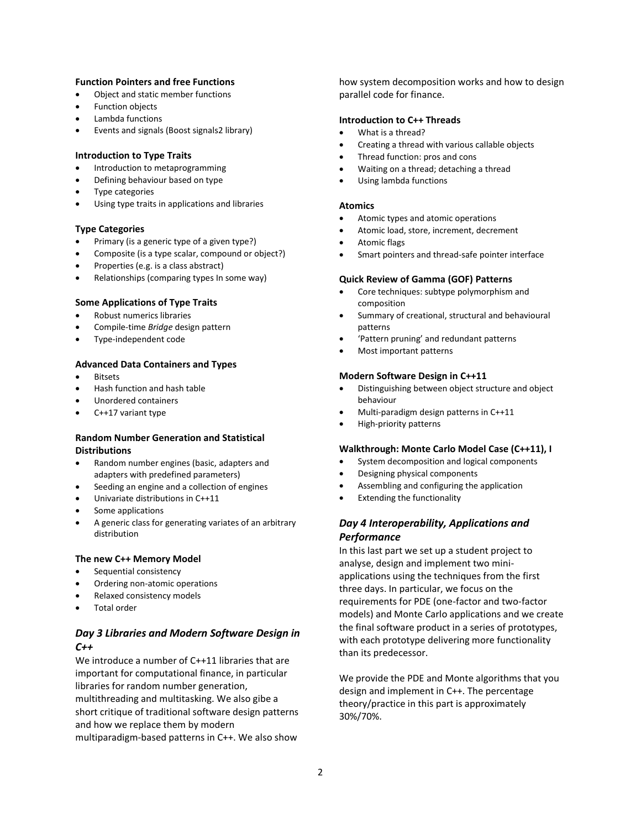#### **Function Pointers and free Functions**

- Object and static member functions
- Function objects
- Lambda functions
- Events and signals (Boost signals2 library)

#### **Introduction to Type Traits**

- Introduction to metaprogramming
- Defining behaviour based on type
- Type categories
- Using type traits in applications and libraries

#### **Type Categories**

- Primary (is a generic type of a given type?)
- Composite (is a type scalar, compound or object?)
- Properties (e.g. is a class abstract)
- Relationships (comparing types In some way)

#### **Some Applications of Type Traits**

- Robust numerics libraries
- Compile-time *Bridge* design pattern
- Type-independent code

#### **Advanced Data Containers and Types**

- **Bitsets**
- Hash function and hash table
- Unordered containers
- C++17 variant type

#### **Random Number Generation and Statistical Distributions**

- Random number engines (basic, adapters and adapters with predefined parameters)
- Seeding an engine and a collection of engines
- Univariate distributions in C++11
- Some applications
- A generic class for generating variates of an arbitrary distribution
- **The new C++ Memory Model**
- Sequential consistency
- Ordering non-atomic operations
- Relaxed consistency models
- Total order

# *Day 3 Libraries and Modern Software Design in C++*

We introduce a number of C++11 libraries that are important for computational finance, in particular libraries for random number generation, multithreading and multitasking. We also gibe a short critique of traditional software design patterns and how we replace them by modern multiparadigm-based patterns in C++. We also show

how system decomposition works and how to design parallel code for finance.

#### **Introduction to C++ Threads**

- What is a thread?
- Creating a thread with various callable objects
- Thread function: pros and cons
- Waiting on a thread; detaching a thread
- Using lambda functions

#### **Atomics**

- Atomic types and atomic operations
- Atomic load, store, increment, decrement
- Atomic flags
- Smart pointers and thread-safe pointer interface

#### **Quick Review of Gamma (GOF) Patterns**

- Core techniques: subtype polymorphism and composition
- Summary of creational, structural and behavioural patterns
- 'Pattern pruning' and redundant patterns
- Most important patterns

#### **Modern Software Design in C++11**

- Distinguishing between object structure and object behaviour
- Multi-paradigm design patterns in C++11
- High-priority patterns

#### **Walkthrough: Monte Carlo Model Case (C++11), I**

- System decomposition and logical components
- Designing physical components
- Assembling and configuring the application
- Extending the functionality

# *Day 4 Interoperability, Applications and Performance*

In this last part we set up a student project to analyse, design and implement two miniapplications using the techniques from the first three days. In particular, we focus on the requirements for PDE (one-factor and two-factor models) and Monte Carlo applications and we create the final software product in a series of prototypes, with each prototype delivering more functionality than its predecessor.

We provide the PDE and Monte algorithms that you design and implement in C++. The percentage theory/practice in this part is approximately 30%/70%.